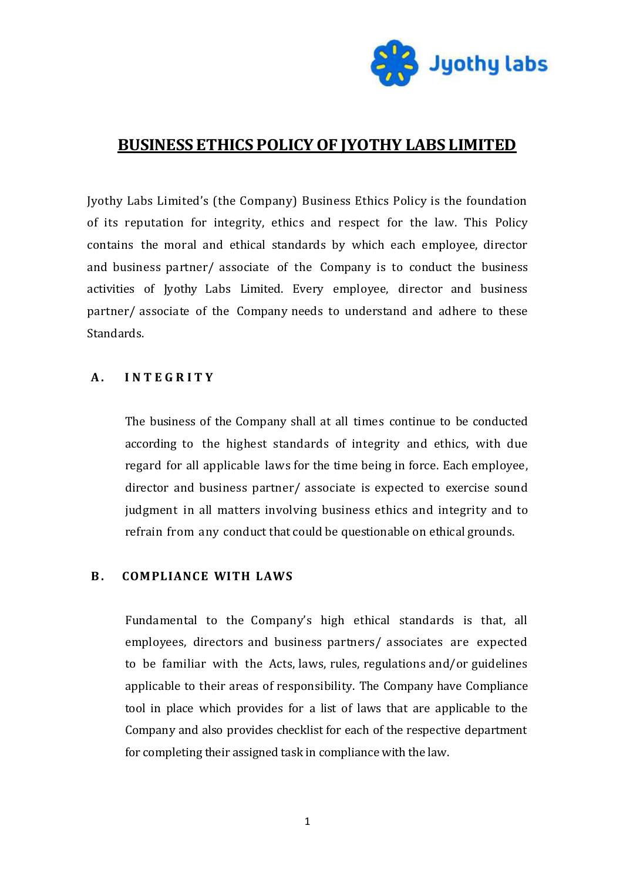

# **BUSINESS ETHICS POLICY OF JYOTHY LABS LIMITED**

Jyothy Labs Limited's (the Company) Business Ethics Policy is the foundation of its reputation for integrity, ethics and respect for the law. This Policy contains the moral and ethical standards by which each employee, director and business partner/ associate of the Company is to conduct the business activities of Jyothy Labs Limited. Every employee, director and business partner/ associate of the Company needs to understand and adhere to these Standards.

### **A . I N T E G R I T Y**

The business of the Company shall at all times continue to be conducted according to the highest standards of integrity and ethics, with due regard for all applicable laws for the time being in force. Each employee, director and business partner/ associate is expected to exercise sound judgment in all matters involving business ethics and integrity and to refrain from any conduct that could be questionable on ethical grounds.

### **B.** COMPLIANCE WITH LAWS

Fundamental to the Company's high ethical standards is that, all employees, directors and business partners/ associates are expected to be familiar with the Acts, laws, rules, regulations and/or guidelines applicable to their areas of responsibility. The Company have Compliance tool in place which provides for a list of laws that are applicable to the Company and also provides checklist for each of the respective department for completing their assigned task in compliance with the law.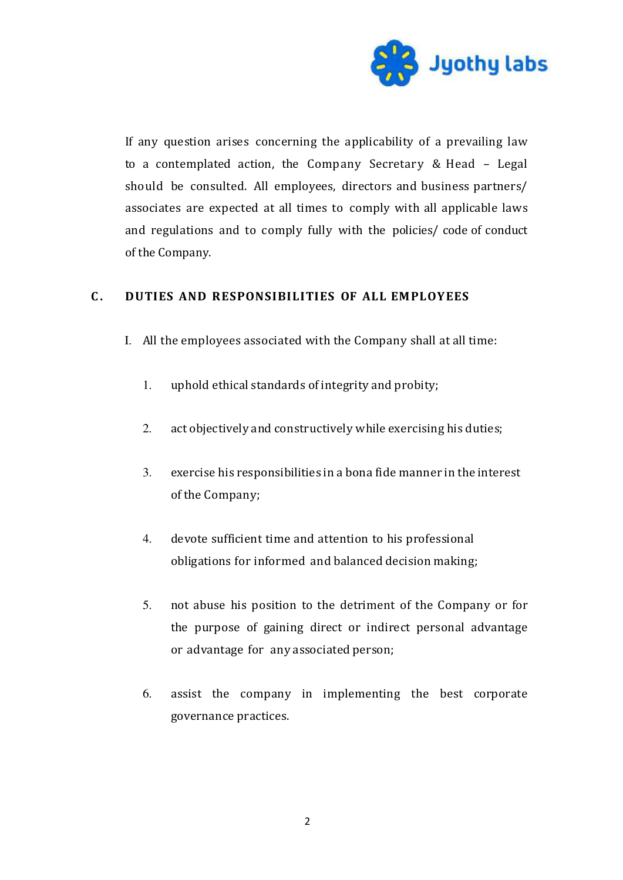

If any question arises concerning the applicability of a prevailing law to a contemplated action, the Company Secretary & Head – Legal should be consulted. All employees, directors and business partners/ associates are expected at all times to comply with all applicable laws and regulations and to comply fully with the policies/ code of conduct of the Company.

# C. DUTIES AND RESPONSIBILITIES OF ALL EMPLOYEES

- I. All the employees associated with the Company shall at all time:
	- 1. uphold ethical standards of integrity and probity;
	- 2. act objectively and constructively while exercising his duties;
	- 3. exercise his responsibilities in a bona fide manner in the interest of the Company;
	- 4. devote sufficient time and attention to his professional obligations for informed and balanced decision making;
	- 5. not abuse his position to the detriment of the Company or for the purpose of gaining direct or indirect personal advantage or advantage for any associated person;
	- 6. assist the company in implementing the best corporate governance practices.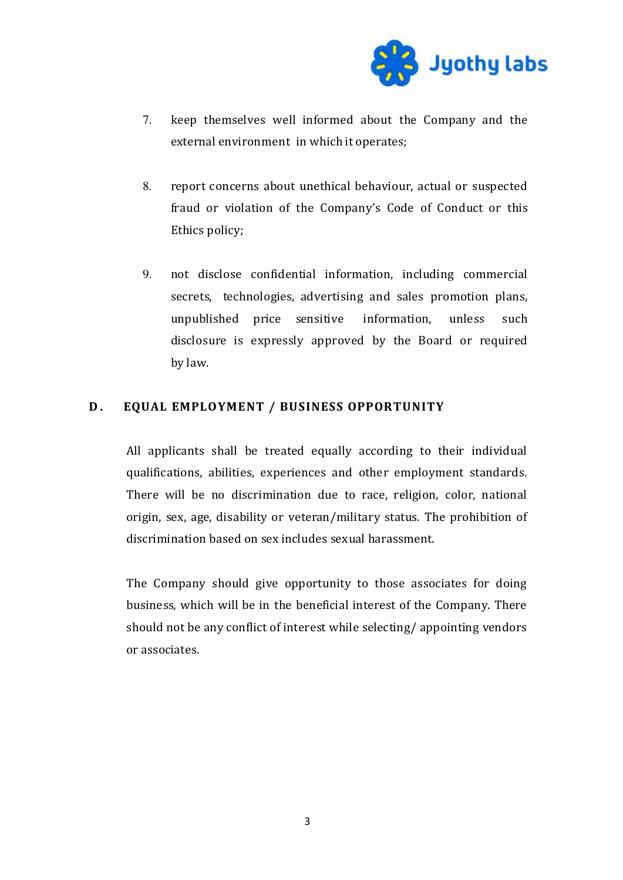

- 7. keep themselves well informed about the Company and the external environment in which it operates;
- 8. report concerns about unethical behaviour, actual or suspected fraud or violation of the Company's Code of Conduct or this Ethics policy;
- 9. not disclose confidential information, including commercial secrets, technologies, advertising and sales promotion plans, unpublished price sensitive information, unless such disclosure is expressly approved by the Board or required by law.

## **D.** EQUAL EMPLOYMENT / BUSINESS OPPORTUNITY

All applicants shall be treated equally according to their individual qualifications, abilities, experiences and other employment standards. There will be no discrimination due to race, religion, color, national origin, sex, age, disability or veteran/military status. The prohibition of discrimination based on sex includes sexual harassment.

The Company should give opportunity to those associates for doing business, which will be in the beneficial interest of the Company. There should not be any conflict of interest while selecting/ appointing vendors or associates.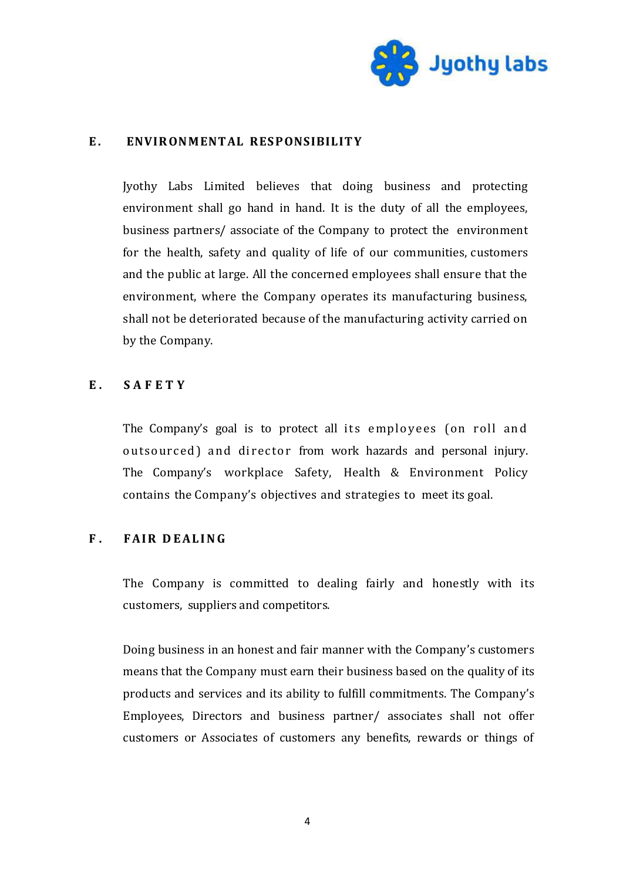

#### E. ENVIRONMENTAL RESPONSIBILITY

Jyothy Labs Limited believes that doing business and protecting environment shall go hand in hand. It is the duty of all the employees, business partners/ associate of the Company to protect the environment for the health, safety and quality of life of our communities, customers and the public at large. All the concerned employees shall ensure that the environment, where the Company operates its manufacturing business, shall not be deteriorated because of the manufacturing activity carried on by the Company.

#### **E . S A F E T Y**

The Company's goal is to protect all its employees (on roll and outsourced) and director from work hazards and personal injury. The Company's workplace Safety, Health & Environment Policy contains the Company's objectives and strategies to meet its goal.

### **F.** FAIR DEALING

The Company is committed to dealing fairly and honestly with its customers, suppliers and competitors.

Doing business in an honest and fair manner with the Company's customers means that the Company must earn their business based on the quality of its products and services and its ability to fulfill commitments. The Company's Employees, Directors and business partner/ associates shall not offer customers or Associates of customers any benefits, rewards or things of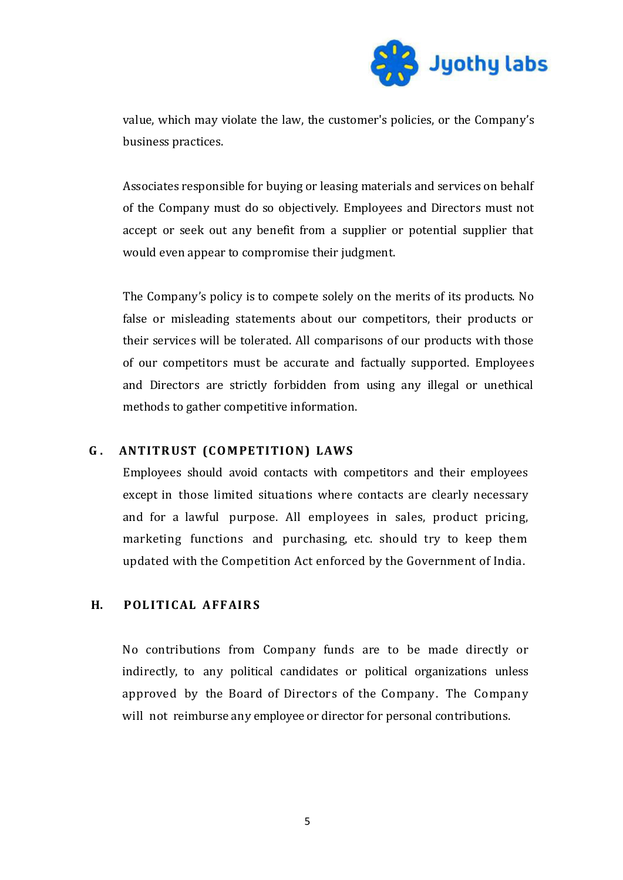

value, which may violate the law, the customer's policies, or the Company's business practices.

Associates responsible for buying or leasing materials and services on behalf of the Company must do so objectively. Employees and Directors must not accept or seek out any benefit from a supplier or potential supplier that would even appear to compromise their judgment.

The Company's policy is to compete solely on the merits of its products. No false or misleading statements about our competitors, their products or their services will be tolerated. All comparisons of our products with those of our competitors must be accurate and factually supported. Employees and Directors are strictly forbidden from using any illegal or unethical methods to gather competitive information.

### G. ANTITRUST (COMPETITION) LAWS

Employees should avoid contacts with competitors and their employees except in those limited situations where contacts are clearly necessary and for a lawful purpose. All employees in sales, product pricing, marketing functions and purchasing, etc. should try to keep them updated with the Competition Act enforced by the Government of India.

# **H. POLITICAL AFFAIRS**

No contributions from Company funds are to be made directly or indirectly, to any political candidates or political organizations unless approved by the Board of Directors of the Company. The Company will not reimburse any employee or director for personal contributions.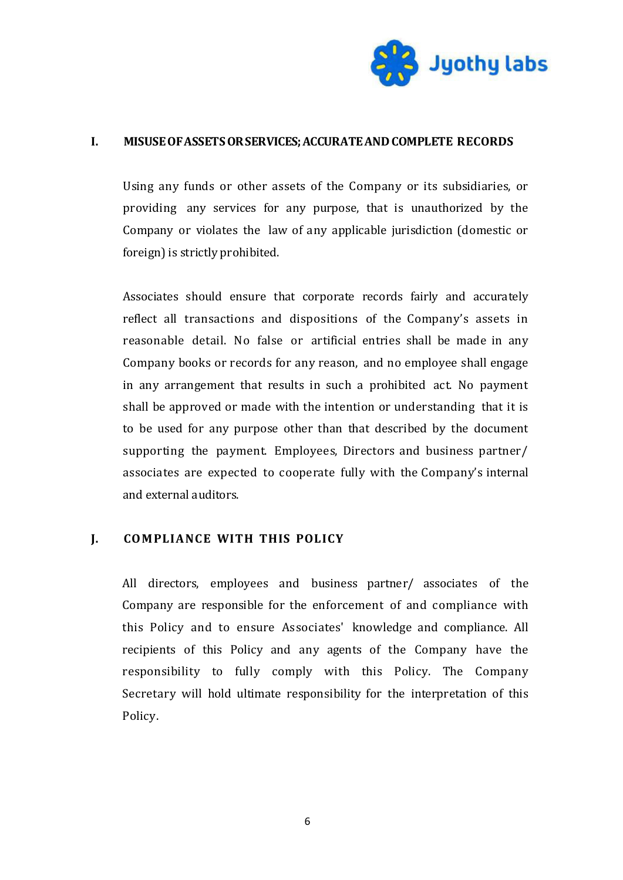

#### **I. MISUSE OF ASSETS OR SERVICES; ACCURATE AND COMPLETE RECORDS**

Using any funds or other assets of the Company or its subsidiaries, or providing any services for any purpose, that is unauthorized by the Company or violates the law of any applicable jurisdiction (domestic or foreign) is strictly prohibited.

Associates should ensure that corporate records fairly and accurately reflect all transactions and dispositions of the Company's assets in reasonable detail. No false or artificial entries shall be made in any Company books or records for any reason, and no employee shall engage in any arrangement that results in such a prohibited act. No payment shall be approved or made with the intention or understanding that it is to be used for any purpose other than that described by the document supporting the payment. Employees, Directors and business partner/ associates are expected to cooperate fully with the Company's internal and external auditors.

### **J. COM PLIANCE WITH THIS POLICY**

All directors, employees and business partner/ associates of the Company are responsible for the enforcement of and compliance with this Policy and to ensure Associates' knowledge and compliance. All recipients of this Policy and any agents of the Company have the responsibility to fully comply with this Policy. The Company Secretary will hold ultimate responsibility for the interpretation of this Policy.